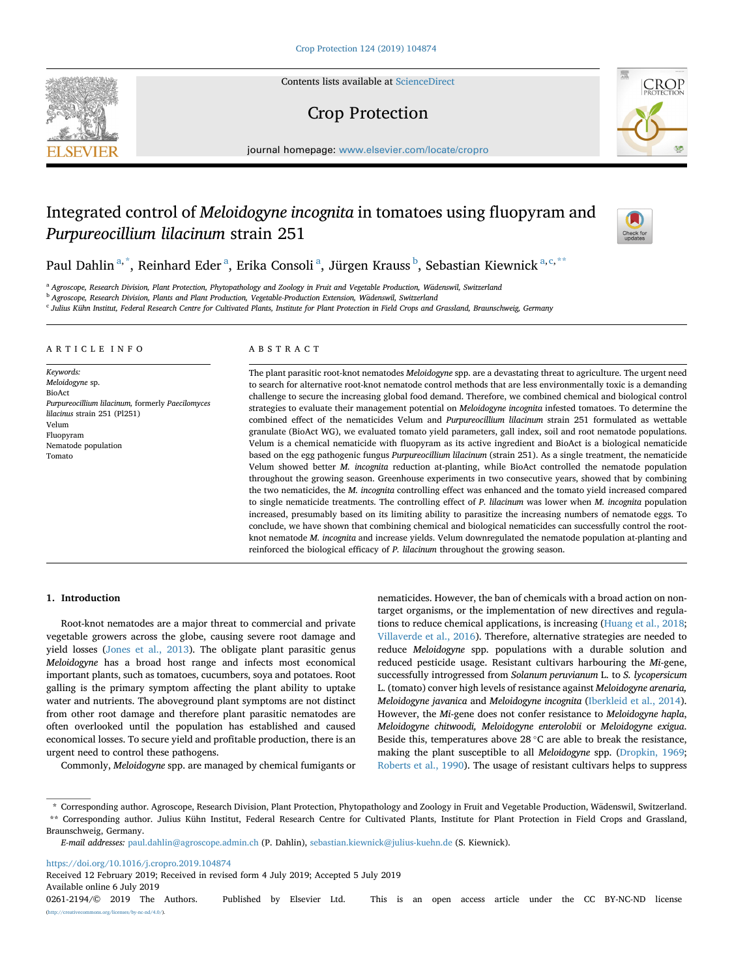

Contents lists available at [ScienceDirect](www.sciencedirect.com/science/journal/02612194)

# Crop Protection



journal homepage: [www.elsevier.com/locate/cropro](https://www.elsevier.com/locate/cropro) 

# Integrated control of *Meloidogyne incognita* in tomatoes using fluopyram and *Purpureocillium lilacinum* strain 251



Paul Dahlin $^{\rm a, *},$  Reinhard Eder $^{\rm a}$ , Erika Consoli $^{\rm a}$ , Jürgen Krauss $^{\rm b}$ , Sebastian Kiewnick $^{\rm a, c, **}$ 

<sup>a</sup> Agroscope, Research Division, Plant Protection, Phytopathology and Zoology in Fruit and Vegetable Production, Wädenswil, Switzerland

b *Agroscope, Research Division, Plants and Plant Production, Vegetable-Production Extension, Wadenswil, Switzerland* 

<sup>c</sup> *Julius Kühn Institut, Federal Research Centre for Cultivated Plants, Institute for Plant Protection in Field Crops and Grassland, Braunschweig, Germany* 

#### ARTICLE INFO

*Keywords: Meloidogyne* sp. BioAct *Purpureocillium lilacinum,* formerly *Paecilomyces lilacinus* strain 251 (Pl251) Velum Fluopyram Nematode population Tomato

#### ABSTRACT

The plant parasitic root-knot nematodes *Meloidogyne* spp. are a devastating threat to agriculture. The urgent need to search for alternative root-knot nematode control methods that are less environmentally toxic is a demanding challenge to secure the increasing global food demand. Therefore, we combined chemical and biological control strategies to evaluate their management potential on *Meloidogyne incognita* infested tomatoes. To determine the combined effect of the nematicides Velum and *Purpureocillium lilacinum* strain 251 formulated as wettable granulate (BioAct WG), we evaluated tomato yield parameters, gall index, soil and root nematode populations. Velum is a chemical nematicide with fluopyram as its active ingredient and BioAct is a biological nematicide based on the egg pathogenic fungus *Purpureocillium lilacinum* (strain 251). As a single treatment, the nematicide Velum showed better *M. incognita* reduction at-planting, while BioAct controlled the nematode population throughout the growing season. Greenhouse experiments in two consecutive years, showed that by combining the two nematicides, the *M. incognita* controlling effect was enhanced and the tomato yield increased compared to single nematicide treatments. The controlling effect of *P. lilacinum* was lower when *M. incognita* population increased, presumably based on its limiting ability to parasitize the increasing numbers of nematode eggs. To conclude, we have shown that combining chemical and biological nematicides can successfully control the rootknot nematode *M. incognita* and increase yields. Velum downregulated the nematode population at-planting and reinforced the biological efficacy of *P. lilacinum* throughout the growing season.

#### **1. Introduction**

Root-knot nematodes are a major threat to commercial and private vegetable growers across the globe, causing severe root damage and yield losses [\(Jones et al., 2013](#page-5-0)). The obligate plant parasitic genus *Meloidogyne* has a broad host range and infects most economical important plants, such as tomatoes, cucumbers, soya and potatoes. Root galling is the primary symptom affecting the plant ability to uptake water and nutrients. The aboveground plant symptoms are not distinct from other root damage and therefore plant parasitic nematodes are often overlooked until the population has established and caused economical losses. To secure yield and profitable production, there is an urgent need to control these pathogens.

Commonly, *Meloidogyne* spp. are managed by chemical fumigants or

nematicides. However, the ban of chemicals with a broad action on nontarget organisms, or the implementation of new directives and regulations to reduce chemical applications, is increasing [\(Huang et al., 2018](#page-5-0); [Villaverde et al., 2016\)](#page-6-0). Therefore, alternative strategies are needed to reduce *Meloidogyne* spp. populations with a durable solution and reduced pesticide usage. Resistant cultivars harbouring the *Mi*-gene, successfully introgressed from *Solanum peruvianum* L. to *S. lycopersicum*  L. (tomato) conver high levels of resistance against *Meloidogyne arenaria, Meloidogyne javanica* and *Meloidogyne incognita* ([Iberkleid et al., 2014](#page-5-0)). However, the *Mi*-gene does not confer resistance to *Meloidogyne hapla*, *Meloidogyne chitwoodi, Meloidogyne enterolobii* or *Meloidogyne exigua*. Beside this, temperatures above  $28 \degree C$  are able to break the resistance, making the plant susceptible to all *Meloidogyne* spp. [\(Dropkin, 1969](#page-5-0); [Roberts et al., 1990](#page-5-0)). The usage of resistant cultivars helps to suppress

<https://doi.org/10.1016/j.cropro.2019.104874>

Available online 6 July 2019 0261-2194/© 2019 The Authors. Published by Elsevier Ltd. This is an open access article under the CC BY-NC-ND license [\(http://creativecommons.org/licenses/by-nc-nd/4.0/\)](http://creativecommons.org/licenses/by-nc-nd/4.0/). Received 12 February 2019; Received in revised form 4 July 2019; Accepted 5 July 2019

<sup>\*</sup> Corresponding author. Agroscope, Research Division, Plant Protection, Phytopathology and Zoology in Fruit and Vegetable Production, Wädenswil, Switzerland. \*\* Corresponding author. Julius Kühn Institut, Federal Research Centre for Cultivated Plants, Institute for Plant Protection in Field Crops and Grassland,

Braunschweig, Germany.

*E-mail addresses:* [paul.dahlin@agroscope.admin.ch](mailto:paul.dahlin@agroscope.admin.ch) (P. Dahlin), [sebastian.kiewnick@julius-kuehn.de](mailto:sebastian.kiewnick@julius-kuehn.de) (S. Kiewnick).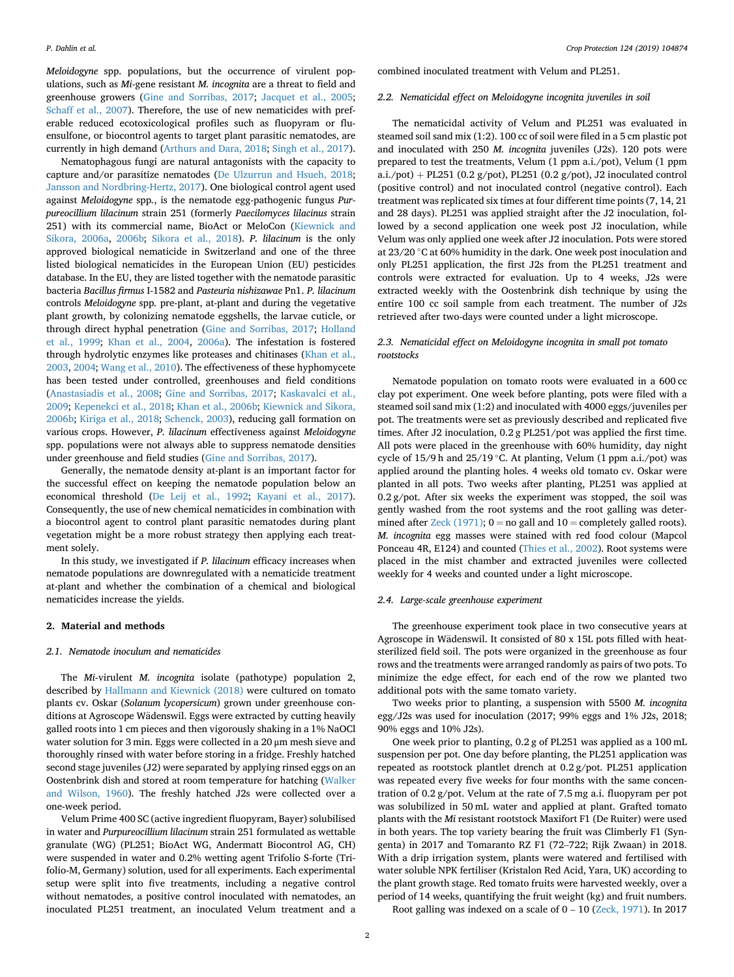*Meloidogyne* spp. populations, but the occurrence of virulent populations, such as *Mi*-gene resistant *M. incognita* are a threat to field and greenhouse growers [\(Gine and Sorribas, 2017](#page-5-0); [Jacquet et al., 2005](#page-5-0); [Schaff et al., 2007\)](#page-5-0). Therefore, the use of new nematicides with preferable reduced ecotoxicological profiles such as fluopyram or fluensulfone, or biocontrol agents to target plant parasitic nematodes, are currently in high demand [\(Arthurs and Dara, 2018;](#page-5-0) [Singh et al., 2017](#page-6-0)).

Nematophagous fungi are natural antagonists with the capacity to capture and/or parasitize nematodes ([De Ulzurrun and Hsueh, 2018](#page-5-0); [Jansson and Nordbring-Hertz, 2017](#page-5-0)). One biological control agent used against *Meloidogyne* spp*.*, is the nematode egg-pathogenic fungus *Purpureocillium lilacinum* strain 251 (formerly *Paecilomyces lilacinus* strain 251) with its commercial name, BioAct or MeloCon ([Kiewnick and](#page-5-0)  [Sikora, 2006a](#page-5-0), [2006b;](#page-5-0) [Sikora et al., 2018](#page-5-0)). *P. lilacinum* is the only approved biological nematicide in Switzerland and one of the three listed biological nematicides in the European Union (EU) pesticides database. In the EU, they are listed together with the nematode parasitic bacteria *Bacillus firmus* I-1582 and *Pasteuria nishizawae* Pn1. *P. lilacinum*  controls *Meloidogyne* spp*.* pre-plant, at-plant and during the vegetative plant growth, by colonizing nematode eggshells, the larvae cuticle, or through direct hyphal penetration ([Gine and Sorribas, 2017](#page-5-0); [Holland](#page-5-0)  [et al., 1999](#page-5-0); [Khan et al., 2004,](#page-5-0) [2006a](#page-5-0)). The infestation is fostered through hydrolytic enzymes like proteases and chitinases ([Khan et al.,](#page-5-0)  [2003, 2004;](#page-5-0) [Wang et al., 2010](#page-6-0)). The effectiveness of these hyphomycete has been tested under controlled, greenhouses and field conditions ([Anastasiadis et al., 2008](#page-5-0); [Gine and Sorribas, 2017](#page-5-0); [Kaskavalci et al.,](#page-5-0)  [2009; Kepenekci et al., 2018](#page-5-0); [Khan et al., 2006b](#page-5-0); [Kiewnick and Sikora,](#page-5-0)  [2006b;](#page-5-0) [Kiriga et al., 2018](#page-5-0); [Schenck, 2003\)](#page-5-0), reducing gall formation on various crops. However, *P. lilacinum* effectiveness against *Meloidogyne*  spp. populations were not always able to suppress nematode densities under greenhouse and field studies ([Gine and Sorribas, 2017](#page-5-0)).

Generally, the nematode density at-plant is an important factor for the successful effect on keeping the nematode population below an economical threshold ([De Leij et al., 1992;](#page-5-0) [Kayani et al., 2017](#page-5-0)). Consequently, the use of new chemical nematicides in combination with a biocontrol agent to control plant parasitic nematodes during plant vegetation might be a more robust strategy then applying each treatment solely.

In this study, we investigated if *P. lilacinum* efficacy increases when nematode populations are downregulated with a nematicide treatment at-plant and whether the combination of a chemical and biological nematicides increase the yields.

## **2. Material and methods**

## *2.1. Nematode inoculum and nematicides*

The *Mi*-virulent *M. incognita* isolate (pathotype) population 2, described by [Hallmann and Kiewnick \(2018\)](#page-5-0) were cultured on tomato plants cv. Oskar (*Solanum lycopersicum*) grown under greenhouse conditions at Agroscope Wädenswil. Eggs were extracted by cutting heavily galled roots into 1 cm pieces and then vigorously shaking in a 1% NaOCl water solution for 3 min. Eggs were collected in a 20 μm mesh sieve and thoroughly rinsed with water before storing in a fridge. Freshly hatched second stage juveniles (J2) were separated by applying rinsed eggs on an Oostenbrink dish and stored at room temperature for hatching ([Walker](#page-6-0)  [and Wilson, 1960\)](#page-6-0). The freshly hatched J2s were collected over a one-week period.

Velum Prime 400 SC (active ingredient fluopyram, Bayer) solubilised in water and *Purpureocillium lilacinum* strain 251 formulated as wettable granulate (WG) (PL251; BioAct WG, Andermatt Biocontrol AG, CH) were suspended in water and 0.2% wetting agent Trifolio S-forte (Trifolio-M, Germany) solution, used for all experiments. Each experimental setup were split into five treatments, including a negative control without nematodes, a positive control inoculated with nematodes, an inoculated PL251 treatment, an inoculated Velum treatment and a

combined inoculated treatment with Velum and PL251.

## *2.2. Nematicidal effect on Meloidogyne incognita juveniles in soil*

The nematicidal activity of Velum and PL251 was evaluated in steamed soil sand mix (1:2). 100 cc of soil were filed in a 5 cm plastic pot and inoculated with 250 *M. incognita* juveniles (J2s). 120 pots were prepared to test the treatments, Velum (1 ppm a.i./pot), Velum (1 ppm a.i./pot) + PL251 (0.2 g/pot), PL251 (0.2 g/pot), J2 inoculated control (positive control) and not inoculated control (negative control). Each treatment was replicated six times at four different time points (7, 14, 21 and 28 days). PL251 was applied straight after the J2 inoculation, followed by a second application one week post J2 inoculation, while Velum was only applied one week after J2 inoculation. Pots were stored at 23/20 �C at 60% humidity in the dark. One week post inoculation and only PL251 application, the first J2s from the PL251 treatment and controls were extracted for evaluation. Up to 4 weeks, J2s were extracted weekly with the Oostenbrink dish technique by using the entire 100 cc soil sample from each treatment. The number of J2s retrieved after two-days were counted under a light microscope.

## *2.3. Nematicidal effect on Meloidogyne incognita in small pot tomato rootstocks*

Nematode population on tomato roots were evaluated in a 600 cc clay pot experiment. One week before planting, pots were filed with a steamed soil sand mix (1:2) and inoculated with 4000 eggs/juveniles per pot. The treatments were set as previously described and replicated five times. After J2 inoculation, 0.2 g PL251/pot was applied the first time. All pots were placed in the greenhouse with 60% humidity, day night cycle of 15/9 h and 25/19 °C. At planting, Velum (1 ppm a.i./pot) was applied around the planting holes. 4 weeks old tomato cv. Oskar were planted in all pots. Two weeks after planting, PL251 was applied at 0.2 g/pot. After six weeks the experiment was stopped, the soil was gently washed from the root systems and the root galling was deter-mined after [Zeck \(1971\)](#page-6-0);  $0 = no$  gall and  $10 =$  completely galled roots). *M. incognita* egg masses were stained with red food colour (Mapcol Ponceau 4R, E124) and counted [\(Thies et al., 2002](#page-6-0)). Root systems were placed in the mist chamber and extracted juveniles were collected weekly for 4 weeks and counted under a light microscope.

## *2.4. Large-scale greenhouse experiment*

The greenhouse experiment took place in two consecutive years at Agroscope in Wädenswil. It consisted of 80 x 15L pots filled with heatsterilized field soil. The pots were organized in the greenhouse as four rows and the treatments were arranged randomly as pairs of two pots. To minimize the edge effect, for each end of the row we planted two additional pots with the same tomato variety.

Two weeks prior to planting, a suspension with 5500 *M. incognita*  egg/J2s was used for inoculation (2017; 99% eggs and 1% J2s, 2018; 90% eggs and 10% J2s).

One week prior to planting, 0.2 g of PL251 was applied as a 100 mL suspension per pot. One day before planting, the PL251 application was repeated as rootstock plantlet drench at 0.2 g/pot. PL251 application was repeated every five weeks for four months with the same concentration of 0.2 g/pot. Velum at the rate of 7.5 mg a.i. fluopyram per pot was solubilized in 50 mL water and applied at plant. Grafted tomato plants with the *Mi* resistant rootstock Maxifort F1 (De Ruiter) were used in both years. The top variety bearing the fruit was Climberly F1 (Syngenta) in 2017 and Tomaranto RZ F1 (72–722; Rijk Zwaan) in 2018. With a drip irrigation system, plants were watered and fertilised with water soluble NPK fertiliser (Kristalon Red Acid, Yara, UK) according to the plant growth stage. Red tomato fruits were harvested weekly, over a period of 14 weeks, quantifying the fruit weight (kg) and fruit numbers.

Root galling was indexed on a scale of  $0 - 10$  ([Zeck, 1971\)](#page-6-0). In 2017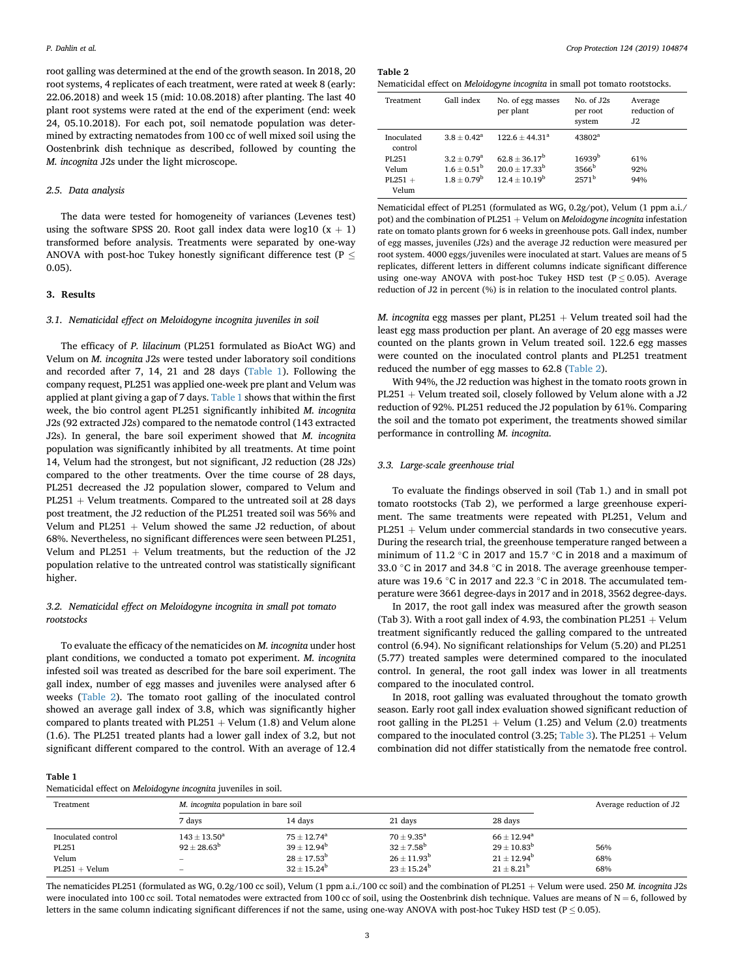<span id="page-2-0"></span>root galling was determined at the end of the growth season. In 2018, 20 root systems, 4 replicates of each treatment, were rated at week 8 (early: 22.06.2018) and week 15 (mid: 10.08.2018) after planting. The last 40 plant root systems were rated at the end of the experiment (end: week 24, 05.10.2018). For each pot, soil nematode population was determined by extracting nematodes from 100 cc of well mixed soil using the Oostenbrink dish technique as described, followed by counting the *M. incognita* J2s under the light microscope.

## *2.5. Data analysis*

The data were tested for homogeneity of variances (Levenes test) using the software SPSS 20. Root gall index data were  $log10(x + 1)$ transformed before analysis. Treatments were separated by one-way ANOVA with post-hoc Tukey honestly significant difference test (P  $\leq$ 0.05).

#### **3. Results**

#### *3.1. Nematicidal effect on Meloidogyne incognita juveniles in soil*

The efficacy of *P. lilacinum* (PL251 formulated as BioAct WG) and Velum on *M. incognita* J2s were tested under laboratory soil conditions and recorded after 7, 14, 21 and 28 days (Table 1). Following the company request, PL251 was applied one-week pre plant and Velum was applied at plant giving a gap of 7 days. Table 1 shows that within the first week, the bio control agent PL251 significantly inhibited *M. incognita*  J2s (92 extracted J2s) compared to the nematode control (143 extracted J2s). In general, the bare soil experiment showed that *M. incognita*  population was significantly inhibited by all treatments. At time point 14, Velum had the strongest, but not significant, J2 reduction (28 J2s) compared to the other treatments. Over the time course of 28 days, PL251 decreased the J2 population slower, compared to Velum and  $PL251 + Velum treatments. Compared to the untreated soil at 28 days$ post treatment, the J2 reduction of the PL251 treated soil was 56% and Velum and PL251  $+$  Velum showed the same J2 reduction, of about 68%. Nevertheless, no significant differences were seen between PL251, Velum and PL251  $+$  Velum treatments, but the reduction of the J2 population relative to the untreated control was statistically significant higher.

# *3.2. Nematicidal effect on Meloidogyne incognita in small pot tomato rootstocks*

To evaluate the efficacy of the nematicides on *M. incognita* under host plant conditions, we conducted a tomato pot experiment. *M. incognita*  infested soil was treated as described for the bare soil experiment. The gall index, number of egg masses and juveniles were analysed after 6 weeks (Table 2). The tomato root galling of the inoculated control showed an average gall index of 3.8, which was significantly higher compared to plants treated with  $PL251 + Velum (1.8)$  and Velum alone (1.6). The PL251 treated plants had a lower gall index of 3.2, but not significant different compared to the control. With an average of 12.4

**Table 2** 

| Nematicidal effect on <i>Meloidogyne incognita</i> in small pot tomato rootstocks. |  |
|------------------------------------------------------------------------------------|--|
|------------------------------------------------------------------------------------|--|

| Treatment             | Gall index                | No. of egg masses<br>per plant | No. of J2s<br>per root<br>system | Average<br>reduction of<br>.I2 |
|-----------------------|---------------------------|--------------------------------|----------------------------------|--------------------------------|
| Inoculated<br>control | $3.8 + 0.42^a$            | $122.6 + 44.31a$               | $43802^a$                        |                                |
| PL251                 | $3.2 + 0.79$ <sup>a</sup> | $62.8 + 36.17^b$               | 16939 <sup>b</sup>               | 61%                            |
| Velum                 | $1.6 + 0.51^{\rm b}$      | $20.0 + 17.33^b$               | 3566 <sup>b</sup>                | 92%                            |
| $PL251 +$<br>Velum    | $1.8 + 0.79^{\rm b}$      | $12.4 + 10.19^b$               | $2571^{\rm b}$                   | 94%                            |

Nematicidal effect of PL251 (formulated as WG, 0.2g/pot), Velum (1 ppm a.i./ pot) and the combination of PL251 þ Velum on *Meloidogyne incognita* infestation rate on tomato plants grown for 6 weeks in greenhouse pots. Gall index, number of egg masses, juveniles (J2s) and the average J2 reduction were measured per root system. 4000 eggs/juveniles were inoculated at start. Values are means of 5 replicates, different letters in different columns indicate significant difference using one-way ANOVA with post-hoc Tukey HSD test ( $P \le 0.05$ ). Average reduction of J2 in percent (%) is in relation to the inoculated control plants.

*M. incognita egg masses per plant, PL251*  $+$  Velum treated soil had the least egg mass production per plant. An average of 20 egg masses were counted on the plants grown in Velum treated soil. 122.6 egg masses were counted on the inoculated control plants and PL251 treatment reduced the number of egg masses to 62.8 (Table 2).

With 94%, the J2 reduction was highest in the tomato roots grown in  $PL251 + Velum treated soil, closely followed by Velum alone with a J2$ reduction of 92%. PL251 reduced the J2 population by 61%. Comparing the soil and the tomato pot experiment, the treatments showed similar performance in controlling *M. incognita*.

## *3.3. Large-scale greenhouse trial*

To evaluate the findings observed in soil (Tab 1.) and in small pot tomato rootstocks (Tab 2), we performed a large greenhouse experiment. The same treatments were repeated with PL251, Velum and  $PL251 + Velum under commercial standards in two consecutive years.$ During the research trial, the greenhouse temperature ranged between a minimum of 11.2  $\degree$ C in 2017 and 15.7  $\degree$ C in 2018 and a maximum of 33.0  $^{\circ}{\rm C}$  in 2017 and 34.8  $^{\circ}{\rm C}$  in 2018. The average greenhouse temperature was 19.6  $\degree$ C in 2017 and 22.3  $\degree$ C in 2018. The accumulated temperature were 3661 degree-days in 2017 and in 2018, 3562 degree-days.

In 2017, the root gall index was measured after the growth season (Tab 3). With a root gall index of 4.93, the combination  $PL251 + Velum$ treatment significantly reduced the galling compared to the untreated control (6.94). No significant relationships for Velum (5.20) and PL251 (5.77) treated samples were determined compared to the inoculated control. In general, the root gall index was lower in all treatments compared to the inoculated control.

In 2018, root galling was evaluated throughout the tomato growth season. Early root gall index evaluation showed significant reduction of root galling in the PL251  $+$  Velum (1.25) and Velum (2.0) treatments compared to the inoculated control (3.25; [Table 3](#page-3-0)). The PL251  $+$  Velum combination did not differ statistically from the nematode free control.

#### **Table 1**

Nematicidal effect on *Meloidogyne incognita* juveniles in soil.

| remaindent chock on metodoxynte aloography fur chilles in some |                                                           |                                                                                          |                                                                                              |                                                                                                     |                   |
|----------------------------------------------------------------|-----------------------------------------------------------|------------------------------------------------------------------------------------------|----------------------------------------------------------------------------------------------|-----------------------------------------------------------------------------------------------------|-------------------|
| M. incognita population in bare soil<br>Treatment              |                                                           |                                                                                          |                                                                                              | Average reduction of J2                                                                             |                   |
|                                                                | 7 days                                                    | 14 days                                                                                  | 21 days                                                                                      | 28 days                                                                                             |                   |
| Inoculated control<br>PL251<br>Velum<br>$PL251 + Velum$        | $143 \pm 13.50^a$<br>$92 \pm 28.63^b$<br>$\sim$<br>$\sim$ | $75 \pm 12.74^{\rm a}$<br>$39 \pm 12.94^{\rm b}$<br>$28 \pm 17.53^b$<br>$32 \pm 15.24^b$ | $70 \pm 9.35^{\rm a}$<br>$32 \pm 7.58^{\rm b}$<br>$26 \pm 11.93^{\rm b}$<br>$23 \pm 15.24^b$ | $66 \pm 12.94^{\rm a}$<br>$29 \pm 10.83^{\rm b}$<br>$21 \pm 12.94^{\rm b}$<br>$21 \pm 8.21^{\rm b}$ | 56%<br>68%<br>68% |

The nematicides PL251 (formulated as WG, 0.2g/100 cc soil), Velum (1 ppm a.i./100 cc soil) and the combination of PL251 + Velum were used. 250 *M. incognita J2s* were inoculated into 100 cc soil. Total nematodes were extracted from 100 cc of soil, using the Oostenbrink dish technique. Values are means of  $N = 6$ , followed by letters in the same column indicating significant differences if not the same, using one-way ANOVA with post-hoc Tukey HSD test ( $P \le 0.05$ ).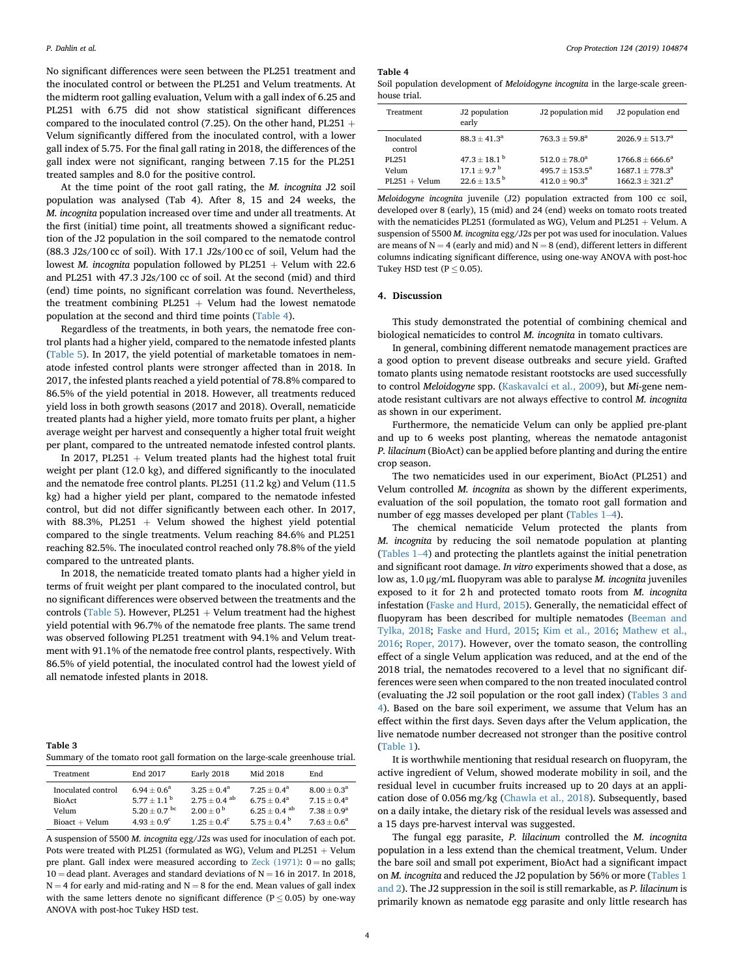<span id="page-3-0"></span>No significant differences were seen between the PL251 treatment and the inoculated control or between the PL251 and Velum treatments. At the midterm root galling evaluation, Velum with a gall index of 6.25 and PL251 with 6.75 did not show statistical significant differences compared to the inoculated control (7.25). On the other hand, PL251  $+$ Velum significantly differed from the inoculated control, with a lower gall index of 5.75. For the final gall rating in 2018, the differences of the gall index were not significant, ranging between 7.15 for the PL251 treated samples and 8.0 for the positive control.

At the time point of the root gall rating, the *M. incognita* J2 soil population was analysed (Tab 4). After 8, 15 and 24 weeks, the *M. incognita* population increased over time and under all treatments. At the first (initial) time point, all treatments showed a significant reduction of the J2 population in the soil compared to the nematode control (88.3 J2s/100 cc of soil). With 17.1 J2s/100 cc of soil, Velum had the lowest *M. incognita* population followed by PL251  $+$  Velum with 22.6 and PL251 with 47.3 J2s/100 cc of soil. At the second (mid) and third (end) time points, no significant correlation was found. Nevertheless, the treatment combining  $PL251 + Velum$  had the lowest nematode population at the second and third time points (Table 4).

Regardless of the treatments, in both years, the nematode free control plants had a higher yield, compared to the nematode infested plants ([Table 5](#page-4-0)). In 2017, the yield potential of marketable tomatoes in nematode infested control plants were stronger affected than in 2018. In 2017, the infested plants reached a yield potential of 78.8% compared to 86.5% of the yield potential in 2018. However, all treatments reduced yield loss in both growth seasons (2017 and 2018). Overall, nematicide treated plants had a higher yield, more tomato fruits per plant, a higher average weight per harvest and consequently a higher total fruit weight per plant, compared to the untreated nematode infested control plants.

In 2017, PL251  $+$  Velum treated plants had the highest total fruit weight per plant (12.0 kg), and differed significantly to the inoculated and the nematode free control plants. PL251 (11.2 kg) and Velum (11.5 kg) had a higher yield per plant, compared to the nematode infested control, but did not differ significantly between each other. In 2017, with 88.3%, PL251  $+$  Velum showed the highest yield potential compared to the single treatments. Velum reaching 84.6% and PL251 reaching 82.5%. The inoculated control reached only 78.8% of the yield compared to the untreated plants.

In 2018, the nematicide treated tomato plants had a higher yield in terms of fruit weight per plant compared to the inoculated control, but no significant differences were observed between the treatments and the controls ([Table 5](#page-4-0)). However,  $PL251 + V$ elum treatment had the highest yield potential with 96.7% of the nematode free plants. The same trend was observed following PL251 treatment with 94.1% and Velum treatment with 91.1% of the nematode free control plants, respectively. With 86.5% of yield potential, the inoculated control had the lowest yield of all nematode infested plants in 2018.

| Table 3                                                                        |
|--------------------------------------------------------------------------------|
| Summary of the tomato root gall formation on the large-scale greenhouse trial. |

| Treatment          | End 2017             | Early 2018                | Mid 2018                     | End                    |
|--------------------|----------------------|---------------------------|------------------------------|------------------------|
| Inoculated control | $6.94 + 0.6^a$       | $3.25 + 0.4^a$            | $7.25 \pm 0.4^{\rm a}$       | $8.00 \pm 0.3^{\rm a}$ |
| <b>BioAct</b>      | $5.77 + 1.1^{b}$     | $2.75 + 0.4^{ab}$         | $6.75 \pm 0.4^{\rm a}$       | $7.15 + 0.4^a$         |
| Velum              | $5.20 \pm 0.7$ bc    | $2.00 \pm 0^{\mathrm{b}}$ | $6.25 \pm 0.4$ <sup>ab</sup> | $7.38 + 0.9^a$         |
| $Bi$ oact + Velum  | $4.93 + 0.9^{\circ}$ | $1.25 + 0.4^c$            | $5.75 + 0.4^{\mathrm{b}}$    | $7.63 + 0.6^a$         |

A suspension of 5500 *M. incognita* egg/J2s was used for inoculation of each pot. Pots were treated with PL251 (formulated as WG), Velum and PL251  $+$  Velum pre plant. Gall index were measured according to [Zeck \(1971\):](#page-6-0)  $0 =$  no galls;  $10 =$  dead plant. Averages and standard deviations of N = 16 in 2017. In 2018,  $N = 4$  for early and mid-rating and  $N = 8$  for the end. Mean values of gall index with the same letters denote no significant difference ( $P \le 0.05$ ) by one-way ANOVA with post-hoc Tukey HSD test.

**Table 4** 

Soil population development of *Meloidogyne incognita* in the large-scale greenhouse trial.

| Treatment             | J2 population               | J2 population mid      | J2 population end    |
|-----------------------|-----------------------------|------------------------|----------------------|
|                       | early                       |                        |                      |
| Inoculated<br>control | $88.3 + 41.3a$              | $763.3 + 59.8^{\circ}$ | $2026.9 \pm 513.7^a$ |
| PL251                 | $47.3 + 18.1^{\mathrm{b}}$  | $512.0 + 78.0^a$       | $1766.8 + 666.6^a$   |
| Velum                 | $17.1 \pm 9.7^{\mathrm{b}}$ | $495.7 + 153.5^a$      | $1687.1 \pm 778.3^a$ |
| $PL251 + Velum$       | $22.6 + 13.5^{\mathrm{b}}$  | $412.0 \pm 90.3^a$     | $1662.3 + 321.2a$    |

*Meloidogyne incognita* juvenile (J2) population extracted from 100 cc soil, developed over 8 (early), 15 (mid) and 24 (end) weeks on tomato roots treated with the nematicides PL251 (formulated as WG), Velum and PL251  $+$  Velum. A suspension of 5500 *M. incognita* egg/J2s per pot was used for inoculation. Values are means of  $N = 4$  (early and mid) and  $N = 8$  (end), different letters in different columns indicating significant difference, using one-way ANOVA with post-hoc Tukey HSD test ( $P \leq 0.05$ ).

## **4. Discussion**

This study demonstrated the potential of combining chemical and biological nematicides to control *M. incognita* in tomato cultivars.

In general, combining different nematode management practices are a good option to prevent disease outbreaks and secure yield. Grafted tomato plants using nematode resistant rootstocks are used successfully to control *Meloidogyne* spp. ([Kaskavalci et al., 2009\)](#page-5-0), but *Mi*-gene nematode resistant cultivars are not always effective to control *M. incognita*  as shown in our experiment.

Furthermore, the nematicide Velum can only be applied pre-plant and up to 6 weeks post planting, whereas the nematode antagonist *P. lilacinum* (BioAct) can be applied before planting and during the entire crop season.

The two nematicides used in our experiment, BioAct (PL251) and Velum controlled *M. incognita* as shown by the different experiments, evaluation of the soil population, the tomato root gall formation and number of egg masses developed per plant ([Tables 1](#page-2-0)–4).

The chemical nematicide Velum protected the plants from *M. incognita* by reducing the soil nematode population at planting ([Tables 1](#page-2-0)–4) and protecting the plantlets against the initial penetration and significant root damage. *In vitro* experiments showed that a dose, as low as, 1.0 μg/mL fluopyram was able to paralyse *M. incognita* juveniles exposed to it for 2 h and protected tomato roots from *M. incognita*  infestation [\(Faske and Hurd, 2015\)](#page-5-0). Generally, the nematicidal effect of fluopyram has been described for multiple nematodes ([Beeman and](#page-5-0)  [Tylka, 2018;](#page-5-0) [Faske and Hurd, 2015](#page-5-0); [Kim et al., 2016](#page-5-0); [Mathew et al.,](#page-5-0)  [2016; Roper, 2017](#page-5-0)). However, over the tomato season, the controlling effect of a single Velum application was reduced, and at the end of the 2018 trial, the nematodes recovered to a level that no significant differences were seen when compared to the non treated inoculated control (evaluating the J2 soil population or the root gall index) (Tables 3 and 4). Based on the bare soil experiment, we assume that Velum has an effect within the first days. Seven days after the Velum application, the live nematode number decreased not stronger than the positive control ([Table 1](#page-2-0)).

It is worthwhile mentioning that residual research on fluopyram, the active ingredient of Velum, showed moderate mobility in soil, and the residual level in cucumber fruits increased up to 20 days at an application dose of 0.056 mg/kg [\(Chawla et al., 2018](#page-5-0)). Subsequently, based on a daily intake, the dietary risk of the residual levels was assessed and a 15 days pre-harvest interval was suggested.

The fungal egg parasite, *P. lilacinum* controlled the *M. incognita*  population in a less extend than the chemical treatment, Velum. Under the bare soil and small pot experiment, BioAct had a significant impact on *M. incognita* and reduced the J2 population by 56% or more ([Tables 1](#page-2-0)  [and 2\)](#page-2-0). The J2 suppression in the soil is still remarkable, as *P. lilacinum* is primarily known as nematode egg parasite and only little research has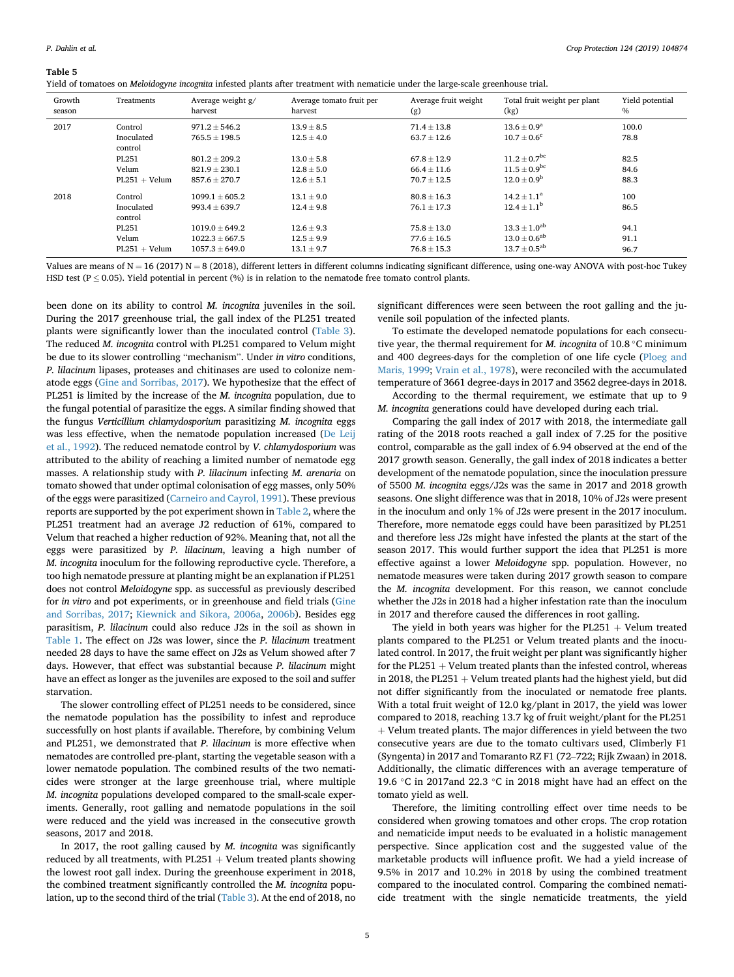<span id="page-4-0"></span>

| Yield of tomatoes on Meloidogyne incognita infested plants after treatment with nematicie under the large-scale greenhouse trial. |  |  |
|-----------------------------------------------------------------------------------------------------------------------------------|--|--|
|                                                                                                                                   |  |  |
|                                                                                                                                   |  |  |
|                                                                                                                                   |  |  |

| Growth | Treatments                       | Average weight g/                       | Average tomato fruit per         | Average fruit weight               | Total fruit weight per plant               | Yield potential |
|--------|----------------------------------|-----------------------------------------|----------------------------------|------------------------------------|--------------------------------------------|-----------------|
| season |                                  | harvest                                 | harvest                          | (g)                                | (kg)                                       | $\%$            |
| 2017   | Control<br>Inoculated<br>control | $971.2 \pm 546.2$<br>$765.5 \pm 198.5$  | $13.9 \pm 8.5$<br>$12.5 \pm 4.0$ | $71.4 \pm 13.8$<br>$63.7 \pm 12.6$ | $13.6 \pm 0.9^a$<br>$10.7 \pm 0.6^{\circ}$ | 100.0<br>78.8   |
|        | PL251                            | $801.2 \pm 209.2$                       | $13.0 \pm 5.8$                   | $67.8 \pm 12.9$                    | $11.2 \pm 0.7$ <sup>bc</sup>               | 82.5            |
|        | Velum                            | $821.9 \pm 230.1$                       | $12.8 \pm 5.0$                   | $66.4 \pm 11.6$                    | $11.5 \pm 0.9^{bc}$                        | 84.6            |
|        | $PL251 + Velum$                  | $857.6 \pm 270.7$                       | $12.6 \pm 5.1$                   | $70.7 \pm 12.5$                    | $12.0 \pm 0.9^b$                           | 88.3            |
| 2018   | Control<br>Inoculated<br>control | $1099.1 \pm 605.2$<br>$993.4 \pm 639.7$ | $13.1 \pm 9.0$<br>$12.4 \pm 9.8$ | $80.8 \pm 16.3$<br>$76.1 \pm 17.3$ | $14.2 \pm 1.1^a$<br>$12.4 \pm 1.1^{\circ}$ | 100<br>86.5     |
|        | PL251                            | $1019.0 + 649.2$                        | $12.6 \pm 9.3$                   | $75.8 \pm 13.0$                    | $13.3 \pm 1.0^{ab}$                        | 94.1            |
|        | Velum                            | $1022.3 \pm 667.5$                      | $12.5 \pm 9.9$                   | $77.6 \pm 16.5$                    | $13.0 \pm 0.6^{ab}$                        | 91.1            |
|        | $PL251 + Velum$                  | $1057.3 \pm 649.0$                      | $13.1 \pm 9.7$                   | $76.8 \pm 15.3$                    | $13.7 \pm 0.5^{ab}$                        | 96.7            |

Values are means of  $N = 16$  (2017)  $N = 8$  (2018), different letters in different columns indicating significant difference, using one-way ANOVA with post-hoc Tukey HSD test ( $P \le 0.05$ ). Yield potential in percent (%) is in relation to the nematode free tomato control plants.

been done on its ability to control *M. incognita* juveniles in the soil. During the 2017 greenhouse trial, the gall index of the PL251 treated plants were significantly lower than the inoculated control [\(Table 3](#page-3-0)). The reduced *M. incognita* control with PL251 compared to Velum might be due to its slower controlling "mechanism". Under *in vitro* conditions, *P. lilacinum* lipases, proteases and chitinases are used to colonize nematode eggs [\(Gine and Sorribas, 2017](#page-5-0)). We hypothesize that the effect of PL251 is limited by the increase of the *M. incognita* population, due to the fungal potential of parasitize the eggs. A similar finding showed that the fungus *Verticillium chlamydosporium* parasitizing *M. incognita* eggs was less effective, when the nematode population increased ([De Leij](#page-5-0)  [et al., 1992](#page-5-0)). The reduced nematode control by *V. chlamydosporium* was attributed to the ability of reaching a limited number of nematode egg masses. A relationship study with *P. lilacinum* infecting *M. arenaria* on tomato showed that under optimal colonisation of egg masses, only 50% of the eggs were parasitized ([Carneiro and Cayrol, 1991\)](#page-5-0). These previous reports are supported by the pot experiment shown in [Table 2](#page-2-0), where the PL251 treatment had an average J2 reduction of 61%, compared to Velum that reached a higher reduction of 92%. Meaning that, not all the eggs were parasitized by *P. lilacinum*, leaving a high number of *M. incognita* inoculum for the following reproductive cycle. Therefore, a too high nematode pressure at planting might be an explanation if PL251 does not control *Meloidogyne* spp. as successful as previously described for *in vitro* and pot experiments, or in greenhouse and field trials [\(Gine](#page-5-0)  [and Sorribas, 2017;](#page-5-0) [Kiewnick and Sikora, 2006a,](#page-5-0) [2006b](#page-5-0)). Besides egg parasitism, *P. lilacinum* could also reduce J2s in the soil as shown in [Table 1.](#page-2-0) The effect on J2s was lower, since the *P. lilacinum* treatment needed 28 days to have the same effect on J2s as Velum showed after 7 days. However, that effect was substantial because *P. lilacinum* might have an effect as longer as the juveniles are exposed to the soil and suffer starvation.

The slower controlling effect of PL251 needs to be considered, since the nematode population has the possibility to infest and reproduce successfully on host plants if available. Therefore, by combining Velum and PL251, we demonstrated that *P. lilacinum* is more effective when nematodes are controlled pre-plant, starting the vegetable season with a lower nematode population. The combined results of the two nematicides were stronger at the large greenhouse trial, where multiple *M. incognita* populations developed compared to the small-scale experiments. Generally, root galling and nematode populations in the soil were reduced and the yield was increased in the consecutive growth seasons, 2017 and 2018.

In 2017, the root galling caused by *M. incognita* was significantly reduced by all treatments, with PL251  $+$  Velum treated plants showing the lowest root gall index. During the greenhouse experiment in 2018, the combined treatment significantly controlled the *M. incognita* population, up to the second third of the trial ([Table 3](#page-3-0)). At the end of 2018, no significant differences were seen between the root galling and the juvenile soil population of the infected plants.

To estimate the developed nematode populations for each consecutive year, the thermal requirement for *M. incognita* of 10.8 °C minimum and 400 degrees-days for the completion of one life cycle [\(Ploeg and](#page-5-0)  [Maris, 1999;](#page-5-0) [Vrain et al., 1978](#page-6-0)), were reconciled with the accumulated temperature of 3661 degree-days in 2017 and 3562 degree-days in 2018.

According to the thermal requirement, we estimate that up to 9 *M. incognita* generations could have developed during each trial.

Comparing the gall index of 2017 with 2018, the intermediate gall rating of the 2018 roots reached a gall index of 7.25 for the positive control, comparable as the gall index of 6.94 observed at the end of the 2017 growth season. Generally, the gall index of 2018 indicates a better development of the nematode population, since the inoculation pressure of 5500 *M. incognita* eggs/J2s was the same in 2017 and 2018 growth seasons. One slight difference was that in 2018, 10% of J2s were present in the inoculum and only 1% of J2s were present in the 2017 inoculum. Therefore, more nematode eggs could have been parasitized by PL251 and therefore less J2s might have infested the plants at the start of the season 2017. This would further support the idea that PL251 is more effective against a lower *Meloidogyne* spp. population. However, no nematode measures were taken during 2017 growth season to compare the *M. incognita* development. For this reason, we cannot conclude whether the J2s in 2018 had a higher infestation rate than the inoculum in 2017 and therefore caused the differences in root galling.

The yield in both years was higher for the PL251  $+$  Velum treated plants compared to the PL251 or Velum treated plants and the inoculated control. In 2017, the fruit weight per plant was significantly higher for the PL251  $+$  Velum treated plants than the infested control, whereas in 2018, the PL251  $+$  Velum treated plants had the highest yield, but did not differ significantly from the inoculated or nematode free plants. With a total fruit weight of 12.0 kg/plant in 2017, the yield was lower compared to 2018, reaching 13.7 kg of fruit weight/plant for the PL251  $+$  Velum treated plants. The major differences in yield between the two consecutive years are due to the tomato cultivars used, Climberly F1 (Syngenta) in 2017 and Tomaranto RZ F1 (72–722; Rijk Zwaan) in 2018. Additionally, the climatic differences with an average temperature of 19.6 �C in 2017and 22.3 �C in 2018 might have had an effect on the tomato yield as well.

Therefore, the limiting controlling effect over time needs to be considered when growing tomatoes and other crops. The crop rotation and nematicide imput needs to be evaluated in a holistic management perspective. Since application cost and the suggested value of the marketable products will influence profit. We had a yield increase of 9.5% in 2017 and 10.2% in 2018 by using the combined treatment compared to the inoculated control. Comparing the combined nematicide treatment with the single nematicide treatments, the yield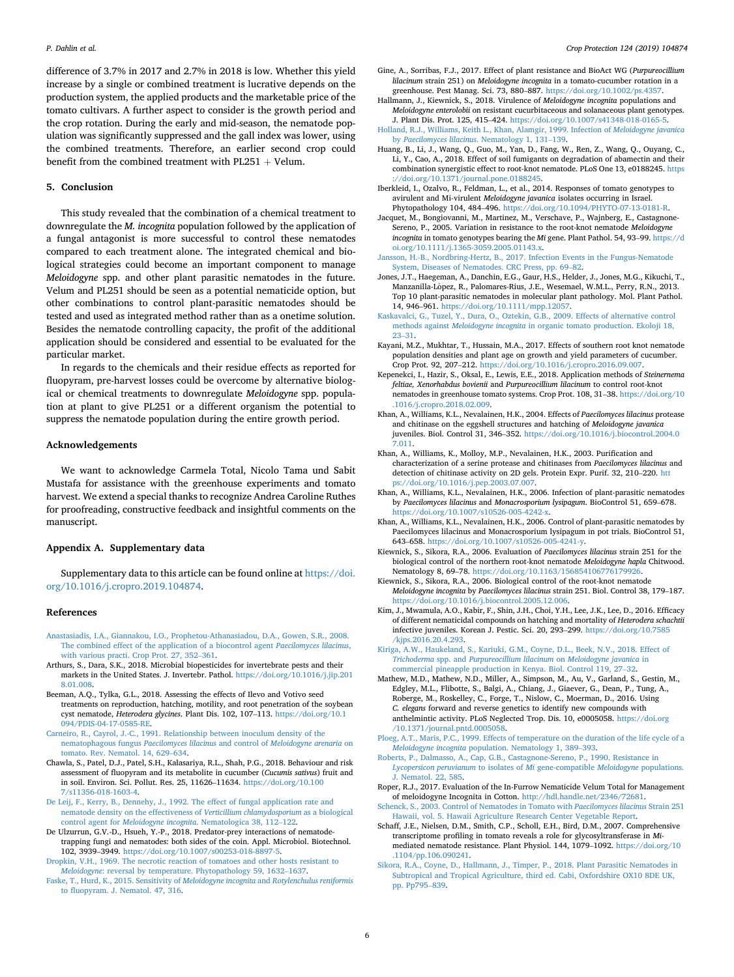<span id="page-5-0"></span>difference of 3.7% in 2017 and 2.7% in 2018 is low. Whether this yield increase by a single or combined treatment is lucrative depends on the production system, the applied products and the marketable price of the tomato cultivars. A further aspect to consider is the growth period and the crop rotation. During the early and mid-season, the nematode population was significantly suppressed and the gall index was lower, using the combined treatments. Therefore, an earlier second crop could benefit from the combined treatment with  $PL251 + Velum$ .

#### **5. Conclusion**

This study revealed that the combination of a chemical treatment to downregulate the *M. incognita* population followed by the application of a fungal antagonist is more successful to control these nematodes compared to each treatment alone. The integrated chemical and biological strategies could become an important component to manage *Meloidogyne* spp. and other plant parasitic nematodes in the future. Velum and PL251 should be seen as a potential nematicide option, but other combinations to control plant-parasitic nematodes should be tested and used as integrated method rather than as a onetime solution. Besides the nematode controlling capacity, the profit of the additional application should be considered and essential to be evaluated for the particular market.

In regards to the chemicals and their residue effects as reported for fluopyram, pre-harvest losses could be overcome by alternative biological or chemical treatments to downregulate *Meloidogyne* spp. population at plant to give PL251 or a different organism the potential to suppress the nematode population during the entire growth period.

#### **Acknowledgements**

We want to acknowledge Carmela Total, Nicolo Tama und Sabit Mustafa for assistance with the greenhouse experiments and tomato harvest. We extend a special thanks to recognize Andrea Caroline Ruthes for proofreading, constructive feedback and insightful comments on the manuscript.

#### **Appendix A. Supplementary data**

Supplementary data to this article can be found online at [https://doi.](https://doi.org/10.1016/j.cropro.2019.104874)  [org/10.1016/j.cropro.2019.104874](https://doi.org/10.1016/j.cropro.2019.104874).

#### **References**

- [Anastasiadis, I.A., Giannakou, I.O., Prophetou-Athanasiadou, D.A., Gowen, S.R., 2008.](http://refhub.elsevier.com/S0261-2194(19)30220-0/sref1)  [The combined effect of the application of a biocontrol agent](http://refhub.elsevier.com/S0261-2194(19)30220-0/sref1) *Paecilomyces lilacinus*, [with various practi. Crop Prot. 27, 352](http://refhub.elsevier.com/S0261-2194(19)30220-0/sref1)–361.
- Arthurs, S., Dara, S.K., 2018. Microbial biopesticides for invertebrate pests and their markets in the United States. J. Invertebr. Pathol. [https://doi.org/10.1016/j.jip.201](https://doi.org/10.1016/j.jip.2018.01.008)  [8.01.008.](https://doi.org/10.1016/j.jip.2018.01.008)
- Beeman, A.Q., Tylka, G.L., 2018. Assessing the effects of Ilevo and Votivo seed treatments on reproduction, hatching, motility, and root penetration of the soybean cyst nematode, *Heterodera glycines*. Plant Dis. 102, 107–113. [https://doi.org/10.1](https://doi.org/10.1094/PDIS-04-17-0585-RE) [094/PDIS-04-17-0585-RE.](https://doi.org/10.1094/PDIS-04-17-0585-RE)
- [Carneiro, R., Cayrol, J.-C., 1991. Relationship between inoculum density of the](http://refhub.elsevier.com/S0261-2194(19)30220-0/sref4)  [nematophagous fungus](http://refhub.elsevier.com/S0261-2194(19)30220-0/sref4) *Paecilomyces lilacinus* and control of *Meloidogyne arenaria* on [tomato. Rev. Nematol. 14, 629](http://refhub.elsevier.com/S0261-2194(19)30220-0/sref4)–634.
- Chawla, S., Patel, D.J., Patel, S.H., Kalasariya, R.L., Shah, P.G., 2018. Behaviour and risk assessment of fluopyram and its metabolite in cucumber (*Cucumis sativus*) fruit and in soil. Environ. Sci. Pollut. Res. 25, 11626–11634. [https://doi.org/10.100](https://doi.org/10.1007/s11356-018-1603-4)  [7/s11356-018-1603-4.](https://doi.org/10.1007/s11356-018-1603-4)
- [De Leij, F., Kerry, B., Dennehy, J., 1992. The effect of fungal application rate and](http://refhub.elsevier.com/S0261-2194(19)30220-0/sref6)  [nematode density on the effectiveness of](http://refhub.elsevier.com/S0261-2194(19)30220-0/sref6) *Verticillium chlamydosporium* as a biological control agent for *Meloidogyne incognita*[. Nematologica 38, 112](http://refhub.elsevier.com/S0261-2194(19)30220-0/sref6)–122.
- De Ulzurrun, G.V.-D., Hsueh, Y.-P., 2018. Predator-prey interactions of nematodetrapping fungi and nematodes: both sides of the coin. Appl. Microbiol. Biotechnol. 102, 3939–3949. <https://doi.org/10.1007/s00253-018-8897-5>.
- [Dropkin, V.H., 1969. The necrotic reaction of tomatoes and other hosts resistant to](http://refhub.elsevier.com/S0261-2194(19)30220-0/sref8)  *Meloidogyne*[: reversal by temperature. Phytopathology 59, 1632](http://refhub.elsevier.com/S0261-2194(19)30220-0/sref8)–1637.
- [Faske, T., Hurd, K., 2015. Sensitivity of](http://refhub.elsevier.com/S0261-2194(19)30220-0/sref9) *Meloidogyne incognita* and *Rotylenchulus reniformis*  [to fluopyram. J. Nematol. 47, 316](http://refhub.elsevier.com/S0261-2194(19)30220-0/sref9).
- Gine, A., Sorribas, F.J., 2017. Effect of plant resistance and BioAct WG (*Purpureocillium lilacinum* strain 251) on *Meloidogyne incognita* in a tomato-cucumber rotation in a greenhouse. Pest Manag. Sci. 73, 880–887. <https://doi.org/10.1002/ps.4357>.
- Hallmann, J., Kiewnick, S., 2018. Virulence of *Meloidogyne incognita* populations and *Meloidogyne enterolobii* on resistant cucurbitaceous and solanaceous plant genotypes. J. Plant Dis. Prot. 125, 415–424. <https://doi.org/10.1007/s41348-018-0165-5>.
- [Holland, R.J., Williams, Keith L., Khan, Alamgir, 1999. Infection of](http://refhub.elsevier.com/S0261-2194(19)30220-0/sref12) *Meloidogyne javanica*  by *[Paecilomyces lilacinus](http://refhub.elsevier.com/S0261-2194(19)30220-0/sref12)*. Nematology 1, 131–139.
- Huang, B., Li, J., Wang, Q., Guo, M., Yan, D., Fang, W., Ren, Z., Wang, Q., Ouyang, C., Li, Y., Cao, A., 2018. Effect of soil fumigants on degradation of abamectin and their combination synergistic effect to root-knot nematode. PLoS One 13, e0188245. [https](https://doi.org/10.1371/journal.pone.0188245)  [://doi.org/10.1371/journal.pone.0188245.](https://doi.org/10.1371/journal.pone.0188245)
- Iberkleid, I., Ozalvo, R., Feldman, L., et al., 2014. Responses of tomato genotypes to avirulent and Mi-virulent *Meloidogyne javanica* isolates occurring in Israel. Phytopathology 104, 484–496. <https://doi.org/10.1094/PHYTO-07-13-0181-R>.
- Jacquet, M., Bongiovanni, M., Martinez, M., Verschave, P., Wajnberg, E., Castagnone-Sereno, P., 2005. Variation in resistance to the root-knot nematode *Meloidogyne incognita* in tomato genotypes bearing the *Mi* gene. Plant Pathol. 54, 93–99. [https://d](https://doi.org/10.1111/j.1365-3059.2005.01143.x)  [oi.org/10.1111/j.1365-3059.2005.01143.x.](https://doi.org/10.1111/j.1365-3059.2005.01143.x)
- [Jansson, H.-B., Nordbring-Hertz, B., 2017. Infection Events in the Fungus-Nematode](http://refhub.elsevier.com/S0261-2194(19)30220-0/sref16)  [System, Diseases of Nematodes. CRC Press, pp. 69](http://refhub.elsevier.com/S0261-2194(19)30220-0/sref16)–82.
- Jones, J.T., Haegeman, A., Danchin, E.G., Gaur, H.S., Helder, J., Jones, M.G., Kikuchi, T., Manzanilla-Lòpez, R., Palomares-Rius, J.E., Wesemael, W.M.L., Perry, R.N., 2013. Top 10 plant-parasitic nematodes in molecular plant pathology. Mol. Plant Pathol. 14, 946–961.<https://doi.org/10.1111/mpp.12057>.
- [Kaskavalci, G., Tuzel, Y., Dura, O., Oztekin, G.B., 2009. Effects of alternative control](http://refhub.elsevier.com/S0261-2194(19)30220-0/sref18) methods against *Meloidogyne incognita* [in organic tomato production. Ekoloji 18,](http://refhub.elsevier.com/S0261-2194(19)30220-0/sref18) 23–[31](http://refhub.elsevier.com/S0261-2194(19)30220-0/sref18).
- Kayani, M.Z., Mukhtar, T., Hussain, M.A., 2017. Effects of southern root knot nematode population densities and plant age on growth and yield parameters of cucumber. Crop Prot. 92, 207–212. <https://doi.org/10.1016/j.cropro.2016.09.007>.
- Kepenekci, I., Hazir, S., Oksal, E., Lewis, E.E., 2018. Application methods of *Steinernema feltiae, Xenorhabdus bovienii* and *Purpureocillium lilacinum* to control root-knot nematodes in greenhouse tomato systems. Crop Prot. 108, 31–38. [https://doi.org/10](https://doi.org/10.1016/j.cropro.2018.02.009)  [.1016/j.cropro.2018.02.009.](https://doi.org/10.1016/j.cropro.2018.02.009)
- Khan, A., Williams, K.L., Nevalainen, H.K., 2004. Effects of *Paecilomyces lilacinus* protease and chitinase on the eggshell structures and hatching of *Meloidogyne javanica*  juveniles. Biol. Control 31, 346–352. [https://doi.org/10.1016/j.biocontrol.2004.0](https://doi.org/10.1016/j.biocontrol.2004.07.011)  [7.011.](https://doi.org/10.1016/j.biocontrol.2004.07.011)
- Khan, A., Williams, K., Molloy, M.P., Nevalainen, H.K., 2003. Purification and characterization of a serine protease and chitinases from *Paecilomyces lilacinus* and detection of chitinase activity on 2D gels. Protein Expr. Purif. 32, 210–220. [htt](https://doi.org/10.1016/j.pep.2003.07.007) [ps://doi.org/10.1016/j.pep.2003.07.007.](https://doi.org/10.1016/j.pep.2003.07.007)
- Khan, A., Williams, K.L., Nevalainen, H.K., 2006. Infection of plant-parasitic nematodes by *Paecilomyces lilacinus* and *Monacrosporium lysipagum*. BioControl 51, 659–678. <https://doi.org/10.1007/s10526-005-4242-x>.
- Khan, A., Williams, K.L., Nevalainen, H.K., 2006. Control of plant-parasitic nematodes by Paecilomyces lilacinus and Monacrosporium lysipagum in pot trials. BioControl 51, 643–658. <https://doi.org/10.1007/s10526-005-4241-y>.
- Kiewnick, S., Sikora, R.A., 2006. Evaluation of *Paecilomyces lilacinus* strain 251 for the biological control of the northern root-knot nematode *Meloidogyne hapla* Chitwood. Nematology 8, 69–78. <https://doi.org/10.1163/156854106776179926>.
- Kiewnick, S., Sikora, R.A., 2006. Biological control of the root-knot nematode *Meloidogyne incognita* by *Paecilomyces lilacinus* strain 251. Biol. Control 38, 179–187. [https://doi.org/10.1016/j.biocontrol.2005.12.006.](https://doi.org/10.1016/j.biocontrol.2005.12.006)
- Kim, J., Mwamula, A.O., Kabir, F., Shin, J.H., Choi, Y.H., Lee, J.K., Lee, D., 2016. Efficacy of different nematicidal compounds on hatching and mortality of *Heterodera schachtii*  infective juveniles. Korean J. Pestic. Sci. 20, 293–299. [https://doi.org/10.7585](https://doi.org/10.7585/kjps.2016.20.4.293)  [/kjps.2016.20.4.293](https://doi.org/10.7585/kjps.2016.20.4.293).
- [Kiriga, A.W., Haukeland, S., Kariuki, G.M., Coyne, D.L., Beek, N.V., 2018. Effect of](http://refhub.elsevier.com/S0261-2194(19)30220-0/sref28) *Trichoderma* spp. and *[Purpureocillium lilacinum](http://refhub.elsevier.com/S0261-2194(19)30220-0/sref28)* on *Meloidogyne javanica* in [commercial pineapple production in Kenya. Biol. Control 119, 27](http://refhub.elsevier.com/S0261-2194(19)30220-0/sref28)–32.
- Mathew, M.D., Mathew, N.D., Miller, A., Simpson, M., Au, V., Garland, S., Gestin, M., Edgley, M.L., Flibotte, S., Balgi, A., Chiang, J., Giaever, G., Dean, P., Tung, A., Roberge, M., Roskelley, C., Forge, T., Nislow, C., Moerman, D., 2016. Using *C. elegans* forward and reverse genetics to identify new compounds with anthelmintic activity. PLoS Neglected Trop. Dis. 10, e0005058. [https://doi.org](https://doi.org/10.1371/journal.pntd.0005058) [/10.1371/journal.pntd.0005058.](https://doi.org/10.1371/journal.pntd.0005058)
- [Ploeg, A.T., Maris, P.C., 1999. Effects of temperature on the duration of the life cycle of a](http://refhub.elsevier.com/S0261-2194(19)30220-0/sref30)  *Meloidogyne incognita* [population. Nematology 1, 389](http://refhub.elsevier.com/S0261-2194(19)30220-0/sref30)–393.
- [Roberts, P., Dalmasso, A., Cap, G.B., Castagnone-Sereno, P., 1990. Resistance in](http://refhub.elsevier.com/S0261-2194(19)30220-0/sref31)  *[Lycopersicon peruvianum](http://refhub.elsevier.com/S0261-2194(19)30220-0/sref31)* to isolates of *Mi* gene-compatible *Meloidogyne* populations. [J. Nematol. 22, 585](http://refhub.elsevier.com/S0261-2194(19)30220-0/sref31).
- Roper, R.J., 2017. Evaluation of the In-Furrow Nematicide Velum Total for Management of meloidogyne Incognita in Cotton. [http://hdl.handle.net/2346/72681.](http://hdl.handle.net/2346/72681)
- [Schenck, S., 2003. Control of Nematodes in Tomato with](http://refhub.elsevier.com/S0261-2194(19)30220-0/sref33) *Paecilomyces lilacinus* Strain 251 [Hawaii, vol. 5. Hawaii Agriculture Research Center Vegetable Report.](http://refhub.elsevier.com/S0261-2194(19)30220-0/sref33)
- Schaff, J.E., Nielsen, D.M., Smith, C.P., Scholl, E.H., Bird, D.M., 2007. Comprehensive transcriptome profiling in tomato reveals a role for glycosyltransferase in *Mi*mediated nematode resistance. Plant Physiol. 144, 1079–1092. [https://doi.org/10](https://doi.org/10.1104/pp.106.090241)  [.1104/pp.106.090241.](https://doi.org/10.1104/pp.106.090241)
- [Sikora, R.A., Coyne, D., Hallmann, J., Timper, P., 2018. Plant Parasitic Nematodes in](http://refhub.elsevier.com/S0261-2194(19)30220-0/sref35) [Subtropical and Tropical Agriculture, third ed. Cabi, Oxfordshire OX10 8DE UK,](http://refhub.elsevier.com/S0261-2194(19)30220-0/sref35)  [pp. Pp795](http://refhub.elsevier.com/S0261-2194(19)30220-0/sref35)–839.